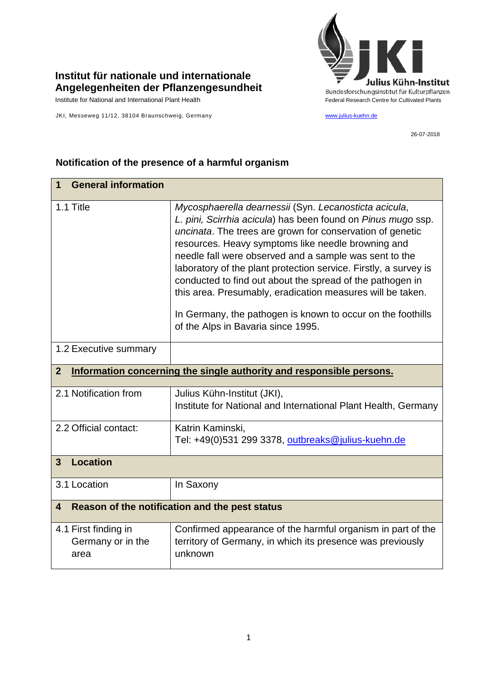## **Institut für nationale und internationale Angelegenheiten der Pflanzengesundheit**

JKI, Messeweg 11/12, 38104 Braunschweig, Germany [www.julius-kuehn.de](http://www.julius-kuehn.de/)



26-07-2018

| <b>General information</b><br>1                                                        |                                                                                                                                                                                                                                                                                                                                                                                                                                                                                                                                                                                                        |  |
|----------------------------------------------------------------------------------------|--------------------------------------------------------------------------------------------------------------------------------------------------------------------------------------------------------------------------------------------------------------------------------------------------------------------------------------------------------------------------------------------------------------------------------------------------------------------------------------------------------------------------------------------------------------------------------------------------------|--|
| 1.1 Title                                                                              | Mycosphaerella dearnessii (Syn. Lecanosticta acicula,<br>L. pini, Scirrhia acicula) has been found on Pinus mugo ssp.<br>uncinata. The trees are grown for conservation of genetic<br>resources. Heavy symptoms like needle browning and<br>needle fall were observed and a sample was sent to the<br>laboratory of the plant protection service. Firstly, a survey is<br>conducted to find out about the spread of the pathogen in<br>this area. Presumably, eradication measures will be taken.<br>In Germany, the pathogen is known to occur on the foothills<br>of the Alps in Bavaria since 1995. |  |
| 1.2 Executive summary                                                                  |                                                                                                                                                                                                                                                                                                                                                                                                                                                                                                                                                                                                        |  |
| $\overline{2}$<br>Information concerning the single authority and responsible persons. |                                                                                                                                                                                                                                                                                                                                                                                                                                                                                                                                                                                                        |  |
| 2.1 Notification from                                                                  | Julius Kühn-Institut (JKI),<br>Institute for National and International Plant Health, Germany                                                                                                                                                                                                                                                                                                                                                                                                                                                                                                          |  |
| 2.2 Official contact:                                                                  | Katrin Kaminski,<br>Tel: +49(0)531 299 3378, outbreaks@julius-kuehn.de                                                                                                                                                                                                                                                                                                                                                                                                                                                                                                                                 |  |
| <b>Location</b><br>$\mathbf{3}$                                                        |                                                                                                                                                                                                                                                                                                                                                                                                                                                                                                                                                                                                        |  |
| 3.1 Location                                                                           | In Saxony                                                                                                                                                                                                                                                                                                                                                                                                                                                                                                                                                                                              |  |
| Reason of the notification and the pest status<br>$\boldsymbol{4}$                     |                                                                                                                                                                                                                                                                                                                                                                                                                                                                                                                                                                                                        |  |
| 4.1 First finding in<br>Germany or in the<br>area                                      | Confirmed appearance of the harmful organism in part of the<br>territory of Germany, in which its presence was previously<br>unknown                                                                                                                                                                                                                                                                                                                                                                                                                                                                   |  |

## **Notification of the presence of a harmful organism**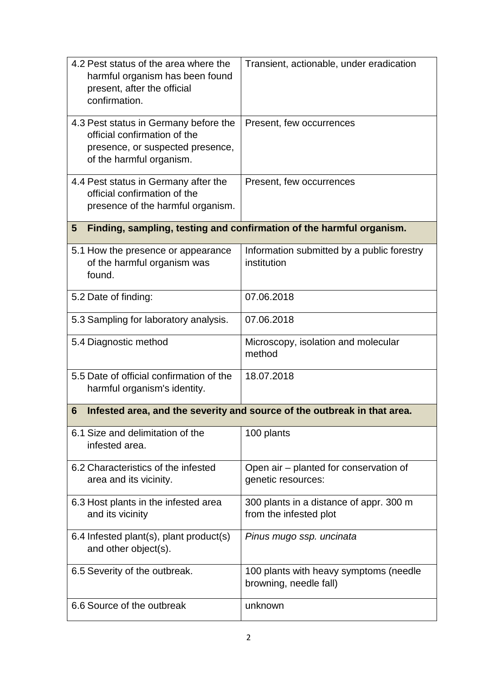| 4.2 Pest status of the area where the<br>harmful organism has been found<br>present, after the official<br>confirmation.              | Transient, actionable, under eradication                          |  |  |
|---------------------------------------------------------------------------------------------------------------------------------------|-------------------------------------------------------------------|--|--|
| 4.3 Pest status in Germany before the<br>official confirmation of the<br>presence, or suspected presence,<br>of the harmful organism. | Present, few occurrences                                          |  |  |
| 4.4 Pest status in Germany after the<br>official confirmation of the<br>presence of the harmful organism.                             | Present, few occurrences                                          |  |  |
| Finding, sampling, testing and confirmation of the harmful organism.<br>5                                                             |                                                                   |  |  |
| 5.1 How the presence or appearance<br>of the harmful organism was<br>found.                                                           | Information submitted by a public forestry<br>institution         |  |  |
| 5.2 Date of finding:                                                                                                                  | 07.06.2018                                                        |  |  |
| 5.3 Sampling for laboratory analysis.                                                                                                 | 07.06.2018                                                        |  |  |
| 5.4 Diagnostic method                                                                                                                 | Microscopy, isolation and molecular<br>method                     |  |  |
| 5.5 Date of official confirmation of the<br>harmful organism's identity.                                                              | 18.07.2018                                                        |  |  |
| Infested area, and the severity and source of the outbreak in that area.<br>6                                                         |                                                                   |  |  |
| 6.1 Size and delimitation of the<br>infested area.                                                                                    | 100 plants                                                        |  |  |
| 6.2 Characteristics of the infested<br>area and its vicinity.                                                                         | Open air – planted for conservation of<br>genetic resources:      |  |  |
| 6.3 Host plants in the infested area<br>and its vicinity                                                                              | 300 plants in a distance of appr. 300 m<br>from the infested plot |  |  |
| 6.4 Infested plant(s), plant product(s)<br>and other object(s).                                                                       | Pinus mugo ssp. uncinata                                          |  |  |
| 6.5 Severity of the outbreak.                                                                                                         | 100 plants with heavy symptoms (needle<br>browning, needle fall)  |  |  |
| 6.6 Source of the outbreak                                                                                                            | unknown                                                           |  |  |